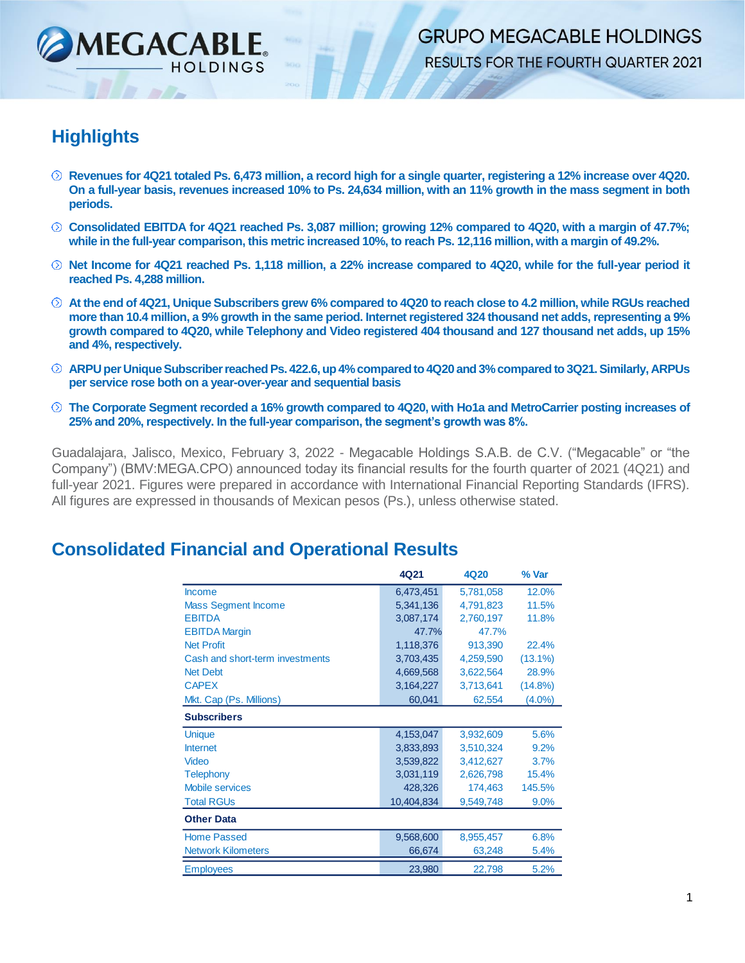

# **Highlights**

- **Revenues for 4Q21 totaled Ps. 6,473 million, a record high for a single quarter, registering a 12% increase over 4Q20. On a full-year basis, revenues increased 10% to Ps. 24,634 million, with an 11% growth in the mass segment in both periods.**
- **Consolidated EBITDA for 4Q21 reached Ps. 3,087 million; growing 12% compared to 4Q20, with a margin of 47.7%; while in the full-year comparison, this metric increased 10%, to reach Ps. 12,116 million, with a margin of 49.2%.**
- **Net Income for 4Q21 reached Ps. 1,118 million, a 22% increase compared to 4Q20, while for the full-year period it reached Ps. 4,288 million.**
- **At the end of 4Q21, Unique Subscribers grew 6% compared to 4Q20 to reach close to 4.2 million, while RGUs reached more than 10.4 million, a 9% growth in the same period. Internet registered 324 thousand net adds, representing a 9% growth compared to 4Q20, while Telephony and Video registered 404 thousand and 127 thousand net adds, up 15% and 4%, respectively.**
- **ARPU per Unique Subscriber reached Ps. 422.6, up 4% compared to 4Q20 and 3% compared to 3Q21. Similarly, ARPUs per service rose both on a year-over-year and sequential basis**
- **The Corporate Segment recorded a 16% growth compared to 4Q20, with Ho1a and MetroCarrier posting increases of 25% and 20%, respectively. In the full-year comparison, the segment's growth was 8%.**

Guadalajara, Jalisco, Mexico, February 3, 2022 - Megacable Holdings S.A.B. de C.V. ("Megacable" or "the Company") (BMV:MEGA.CPO) announced today its financial results for the fourth quarter of 2021 (4Q21) and full-year 2021. Figures were prepared in accordance with International Financial Reporting Standards (IFRS). All figures are expressed in thousands of Mexican pesos (Ps.), unless otherwise stated.

#### **Consolidated Financial and Operational Results**

|                                 | 4Q21       | 4Q20      | % Var      |
|---------------------------------|------------|-----------|------------|
| <b>Income</b>                   | 6,473,451  | 5,781,058 | 12.0%      |
| <b>Mass Segment Income</b>      | 5,341,136  | 4,791,823 | 11.5%      |
| <b>EBITDA</b>                   | 3,087,174  | 2,760,197 | 11.8%      |
| <b>EBITDA Margin</b>            | 47.7%      | 47.7%     |            |
| <b>Net Profit</b>               | 1,118,376  | 913,390   | 22.4%      |
| Cash and short-term investments | 3,703,435  | 4,259,590 | $(13.1\%)$ |
| <b>Net Debt</b>                 | 4,669,568  | 3,622,564 | 28.9%      |
| <b>CAPEX</b>                    | 3,164,227  | 3,713,641 | $(14.8\%)$ |
| Mkt. Cap (Ps. Millions)         | 60,041     | 62,554    | $(4.0\%)$  |
| <b>Subscribers</b>              |            |           |            |
| <b>Unique</b>                   | 4,153,047  | 3,932,609 | 5.6%       |
| <b>Internet</b>                 | 3,833,893  | 3,510,324 | 9.2%       |
| Video                           | 3,539,822  | 3,412,627 | 3.7%       |
| <b>Telephony</b>                | 3,031,119  | 2,626,798 | 15.4%      |
| <b>Mobile services</b>          | 428,326    | 174,463   | 145.5%     |
| <b>Total RGUs</b>               | 10,404,834 | 9,549,748 | 9.0%       |
| <b>Other Data</b>               |            |           |            |
| <b>Home Passed</b>              | 9,568,600  | 8,955,457 | 6.8%       |
| <b>Network Kilometers</b>       | 66,674     | 63,248    | 5.4%       |
| <b>Employees</b>                | 23,980     | 22,798    | 5.2%       |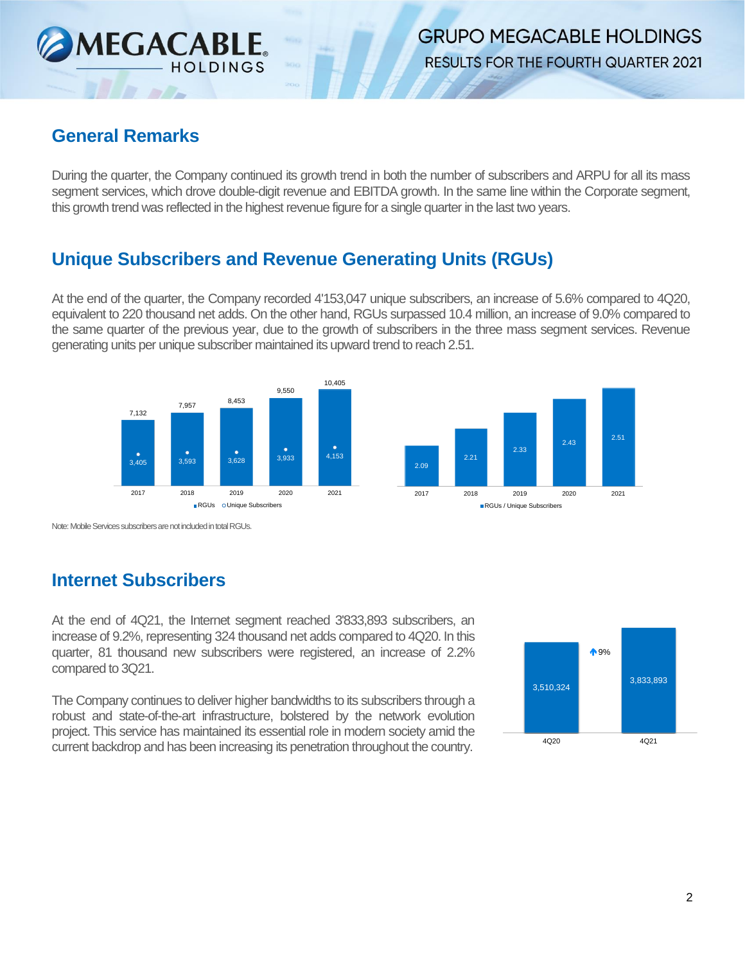

## **General Remarks**

During the quarter, the Company continued its growth trend in both the number of subscribers and ARPU for all its mass segment services, which drove double-digit revenue and EBITDA growth. In the same line within the Corporate segment, this growth trend was reflected in the highest revenue figure for a single quarter in the last two years.

## **Unique Subscribers and Revenue Generating Units (RGUs)**

At the end of the quarter, the Company recorded 4'153,047 unique subscribers, an increase of 5.6% compared to 4Q20, equivalent to 220 thousand net adds. On the other hand, RGUs surpassed 10.4 million, an increase of 9.0% compared to the same quarter of the previous year, due to the growth of subscribers in the three mass segment services. Revenue generating units per unique subscriber maintained its upward trend to reach 2.51.



Note: Mobile Services subscribers are not included in total RGUs.

# **Internet Subscribers**

At the end of 4Q21, the Internet segment reached 3'833,893 subscribers, an increase of 9.2%, representing 324 thousand net adds compared to 4Q20. In this quarter, 81 thousand new subscribers were registered, an increase of 2.2% compared to 3Q21.

The Company continues to deliver higher bandwidths to its subscribers through a robust and state-of-the-art infrastructure, bolstered by the network evolution project. This service has maintained its essential role in modern society amid the current backdrop and has been increasing its penetration throughout the country.

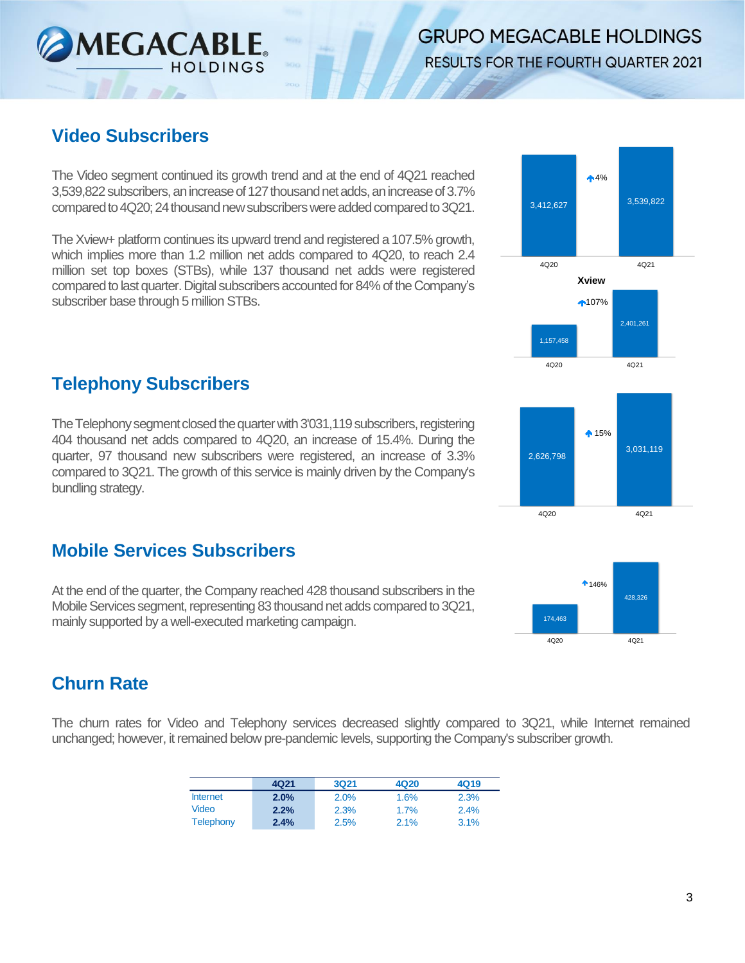# **Video Subscribers**

**MEGACABLE.** 

The Video segment continued its growth trend and at the end of 4Q21 reached 3,539,822 subscribers, an increase of 127 thousand net adds, an increase of 3.7% compared to 4Q20; 24 thousand new subscribers were added compared to 3Q21.

The Xview+ platform continues its upward trend and registered a 107.5% growth, which implies more than 1.2 million net adds compared to 4Q20, to reach 2.4 million set top boxes (STBs), while 137 thousand net adds were registered compared to last quarter. Digital subscribers accounted for 84% of the Company's subscriber base through 5 million STBs.

#### **Telephony Subscribers**

The Telephony segment closed the quarterwith 3'031,119 subscribers, registering 404 thousand net adds compared to 4Q20, an increase of 15.4%. During the quarter, 97 thousand new subscribers were registered, an increase of 3.3% compared to 3Q21. The growth of this service is mainly driven by the Company's bundling strategy.

#### **Mobile Services Subscribers**

At the end of the quarter, the Company reached 428 thousand subscribers in the Mobile Services segment, representing 83 thousand net adds compared to 3Q21, mainly supported by a well-executed marketing campaign.

#### **Churn Rate**

The churn rates for Video and Telephony services decreased slightly compared to 3Q21, while Internet remained unchanged; however, it remained below pre-pandemic levels, supporting the Company's subscriber growth.

|                  | 4Q21 | 3Q21 | 4Q20 | 4Q19 |
|------------------|------|------|------|------|
| <b>Internet</b>  | 2.0% | 2.0% | 1.6% | 2.3% |
| Video            | 2.2% | 2.3% | 1.7% | 2.4% |
| <b>Telephony</b> | 2.4% | 2.5% | 2.1% | 3.1% |





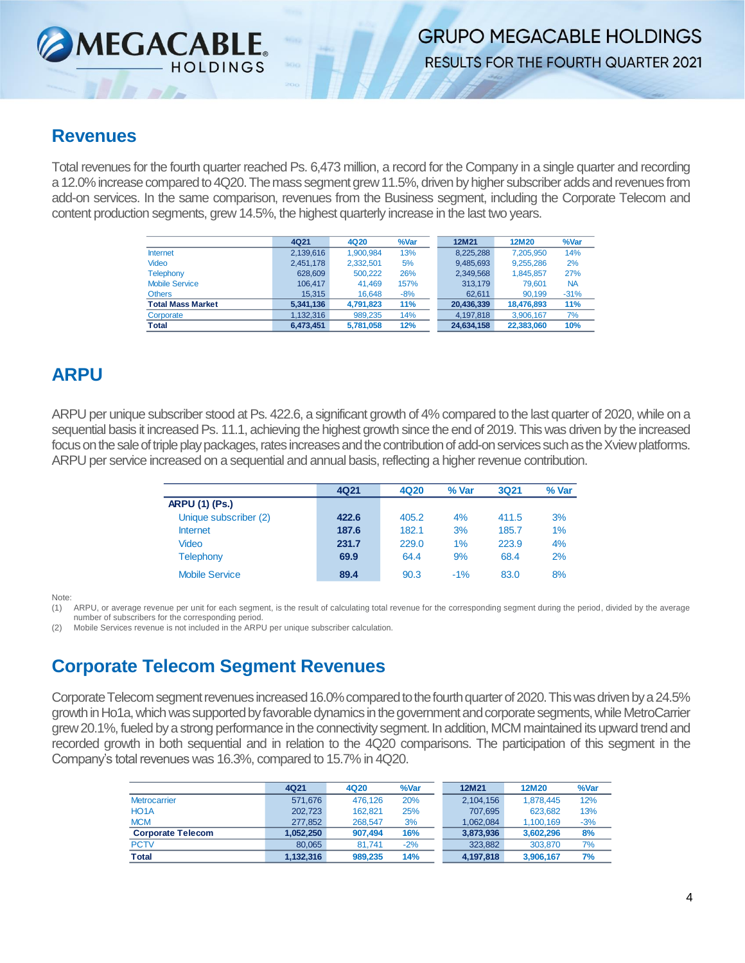

#### **Revenues**

Total revenues for the fourth quarter reached Ps. 6,473 million, a record for the Company in a single quarter and recording a 12.0% increase compared to 4Q20. The mass segment grew 11.5%, driven by higher subscriber adds and revenues from add-on services. In the same comparison, revenues from the Business segment, including the Corporate Telecom and content production segments, grew 14.5%, the highest quarterly increase in the last two years.

|                          | 4Q21      | 4Q20      | %Var  | 12M21      | 12M20      | %Var      |
|--------------------------|-----------|-----------|-------|------------|------------|-----------|
| <b>Internet</b>          | 2.139.616 | 1.900.984 | 13%   | 8.225.288  | 7.205.950  | 14%       |
| <b>Video</b>             | 2.451.178 | 2.332.501 | 5%    | 9.485.693  | 9.255.286  | 2%        |
| <b>Telephony</b>         | 628,609   | 500.222   | 26%   | 2.349.568  | 1.845.857  | 27%       |
| <b>Mobile Service</b>    | 106.417   | 41.469    | 157%  | 313.179    | 79.601     | <b>NA</b> |
| <b>Others</b>            | 15.315    | 16.648    | $-8%$ | 62.611     | 90.199     | $-31%$    |
| <b>Total Mass Market</b> | 5.341.136 | 4.791.823 | 11%   | 20.436.339 | 18.476.893 | 11%       |
| Corporate                | 1.132.316 | 989,235   | 14%   | 4.197.818  | 3.906.167  | 7%        |
| Total                    | 6.473.451 | 5,781,058 | 12%   | 24,634,158 | 22,383,060 | 10%       |

# **ARPU**

ARPU per unique subscriber stood at Ps. 422.6, a significant growth of 4% compared to the last quarter of 2020, while on a sequential basis it increased Ps. 11.1, achieving the highest growth since the end of 2019. This was driven by the increased focus on the sale of triple play packages, rates increases and the contribution of add-on services such as the Xview platforms. ARPU per service increased on a sequential and annual basis, reflecting a higher revenue contribution.

|                       | 4Q21  | 4Q20  | % Var  | 3Q21  | % Var |
|-----------------------|-------|-------|--------|-------|-------|
| <b>ARPU (1) (Ps.)</b> |       |       |        |       |       |
| Unique subscriber (2) | 422.6 | 405.2 | 4%     | 411.5 | 3%    |
| <b>Internet</b>       | 187.6 | 182.1 | 3%     | 185.7 | 1%    |
| Video                 | 231.7 | 229.0 | 1%     | 223.9 | 4%    |
| <b>Telephony</b>      | 69.9  | 64.4  | 9%     | 68.4  | 2%    |
| <b>Mobile Service</b> | 89.4  | 90.3  | $-1\%$ | 83.0  | 8%    |

Note:

(1) ARPU, or average revenue per unit for each segment, is the result of calculating total revenue for the corresponding segment during the period, divided by the average number of subscribers for the corresponding period.

(2) Mobile Services revenue is not included in the ARPU per unique subscriber calculation.

# **Corporate Telecom Segment Revenues**

Corporate Telecom segment revenues increased 16.0% compared to the fourth quarter of 2020. This was driven by a 24.5% growth in Ho1a, which was supported by favorable dynamics in the government and corporate segments, while MetroCarrier grew 20.1%, fueled by a strong performance in the connectivity segment. In addition, MCM maintained its upward trend and recorded growth in both sequential and in relation to the 4Q20 comparisons. The participation of this segment in the Company's total revenues was 16.3%, compared to 15.7% in 4Q20.

|                          | 4Q21      | 4Q20    | %Var  | 12M21     | 12M20     | %Var  |
|--------------------------|-----------|---------|-------|-----------|-----------|-------|
| <b>Metrocarrier</b>      | 571.676   | 476.126 | 20%   | 2,104,156 | 1.878.445 | 12%   |
| HO <sub>1</sub> A        | 202.723   | 162.821 | 25%   | 707.695   | 623.682   | 13%   |
| <b>MCM</b>               | 277.852   | 268.547 | 3%    | 1.062.084 | 1.100.169 | $-3%$ |
| <b>Corporate Telecom</b> | 1.052.250 | 907.494 | 16%   | 3.873.936 | 3.602.296 | 8%    |
| <b>PCTV</b>              | 80.065    | 81.741  | $-2%$ | 323.882   | 303.870   | 7%    |
| <b>Total</b>             | 1,132,316 | 989.235 | 14%   | 4,197,818 | 3.906.167 | 7%    |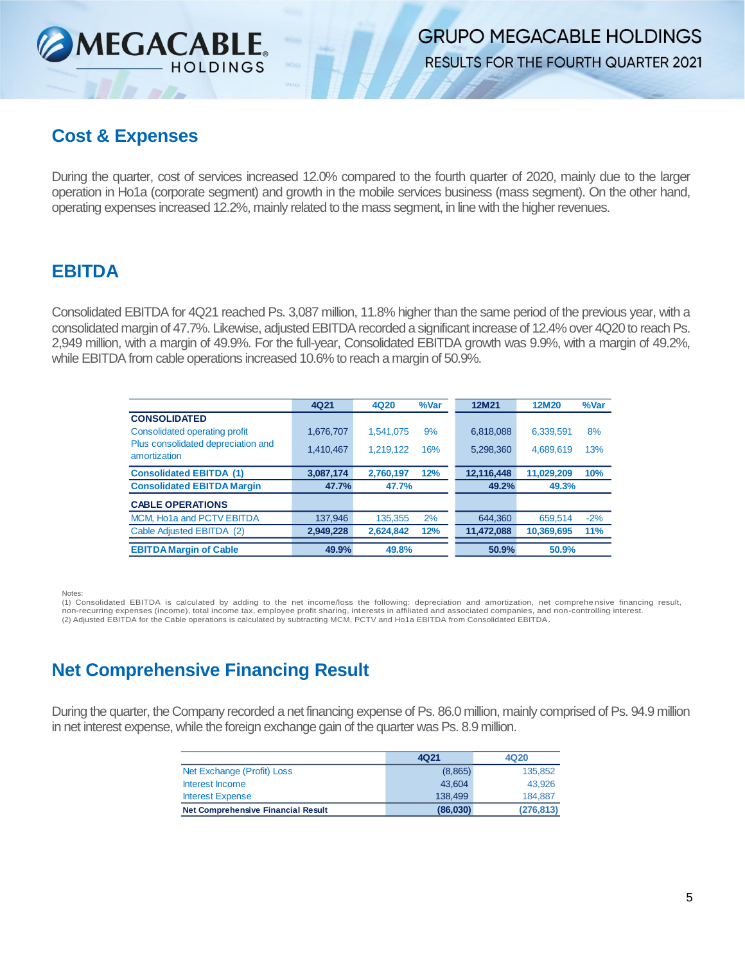

### **Cost & Expenses**

During the quarter, cost of services increased 12.0% compared to the fourth quarter of 2020, mainly due to the larger operation in Ho1a (corporate segment) and growth in the mobile services business (mass segment). On the other hand, operating expenses increased 12.2%, mainly related to the mass segment, in line with the higher revenues.

#### **EBITDA**

Consolidated EBITDA for 4Q21 reached Ps. 3,087 million, 11.8% higher than the same period of the previous year, with a consolidated margin of 47.7%. Likewise, adjusted EBITDA recorded a significant increase of 12.4% over 4Q20 to reach Ps. 2,949 million, with a margin of 49.9%. For the full-year, Consolidated EBITDA growth was 9.9%, with a margin of 49.2%, while EBITDA from cable operations increased 10.6% to reach a margin of 50.9%.

|                                                    | 4Q21      | 4Q20      | %Var | <b>12M21</b> | 12M20      | %Var       |
|----------------------------------------------------|-----------|-----------|------|--------------|------------|------------|
| <b>CONSOLIDATED</b>                                |           |           |      |              |            |            |
| Consolidated operating profit                      | 1,676,707 | 1,541,075 | 9%   | 6,818,088    | 6,339,591  | 8%         |
| Plus consolidated depreciation and<br>amortization | 1,410,467 | 1,219,122 | 16%  | 5,298,360    | 4,689,619  | 13%        |
| <b>Consolidated EBITDA (1)</b>                     | 3,087,174 | 2,760,197 | 12%  | 12,116,448   | 11,029,209 | 10%        |
| <b>Consolidated EBITDA Margin</b>                  | 47.7%     | 47.7%     |      | 49.2%        | 49.3%      |            |
| <b>CABLE OPERATIONS</b>                            |           |           |      |              |            |            |
| MCM, Ho1a and PCTV EBITDA                          | 137,946   | 135,355   | 2%   | 644,360      | 659,514    | $-2%$      |
| Cable Adjusted EBITDA (2)                          | 2,949,228 | 2,624,842 | 12%  | 11,472,088   | 10,369,695 | <b>11%</b> |
| <b>EBITDA Margin of Cable</b>                      | 49.9%     | 49.8%     |      | 50.9%        | 50.9%      |            |

**Notes** 

(1) Consolidated EBITDA is calculated by adding to the net income/loss the following: depreciation and amortization, net comprehe nsive financing result, non-recurring expenses (income), total income tax, employee profit sharing, interests in affiliated and associated companies, and non-controlling interest.<br>(2) Adjusted EBITDA for the Cable operations is calculated by subt

#### **Net Comprehensive Financing Result**

During the quarter, the Company recorded a net financing expense of Ps. 86.0 million, mainly comprised of Ps. 94.9 million in net interest expense, while the foreign exchange gain of the quarter was Ps. 8.9 million.

|                                           | 4Q21     | 4Q20       |
|-------------------------------------------|----------|------------|
| Net Exchange (Profit) Loss                | (8,865)  | 135,852    |
| Interest Income                           | 43.604   | 43.926     |
| <b>Interest Expense</b>                   | 138,499  | 184.887    |
| <b>Net Comprehensive Financial Result</b> | (86,030) | (276, 813) |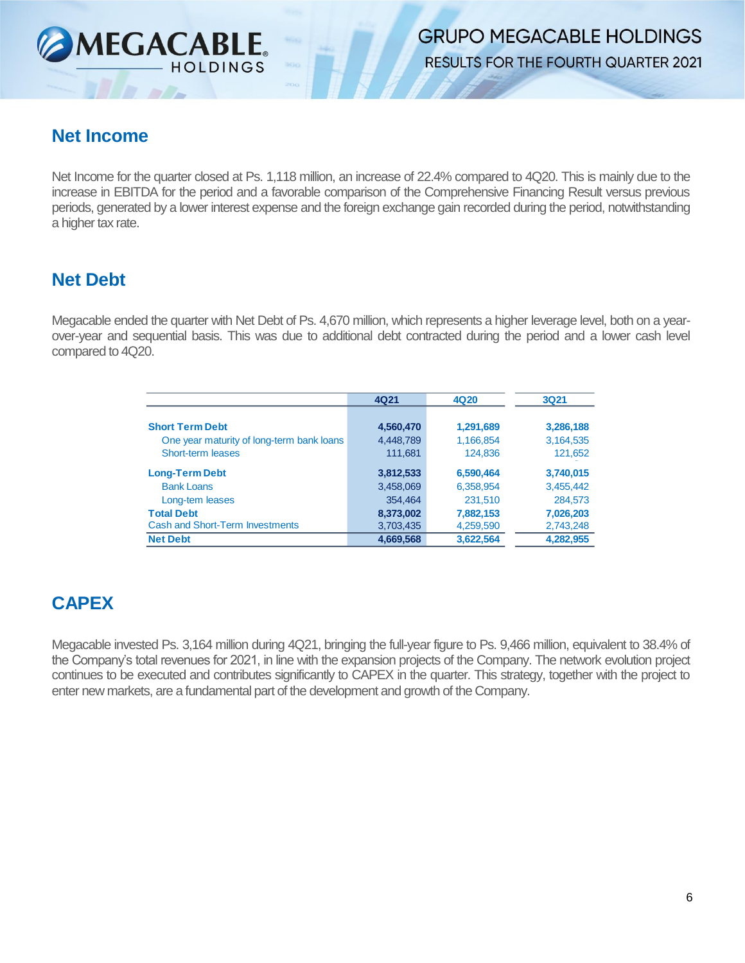

#### **Net Income**

Net Income for the quarter closed at Ps. 1,118 million, an increase of 22.4% compared to 4Q20. This is mainly due to the increase in EBITDA for the period and a favorable comparison of the Comprehensive Financing Result versus previous periods, generated by a lower interest expense and the foreign exchange gain recorded during the period, notwithstanding a higher tax rate.

#### **Net Debt**

Megacable ended the quarter with Net Debt of Ps. 4,670 million, which represents a higher leverage level, both on a yearover-year and sequential basis. This was due to additional debt contracted during the period and a lower cash level compared to 4Q20.

|                                           | 4Q21      | 4Q20      | <b>3Q21</b> |
|-------------------------------------------|-----------|-----------|-------------|
| <b>Short Term Debt</b>                    | 4,560,470 | 1,291,689 | 3,286,188   |
| One year maturity of long-term bank loans | 4,448,789 | 1,166,854 | 3,164,535   |
| Short-term leases                         | 111,681   | 124.836   | 121,652     |
| <b>Long-Term Debt</b>                     | 3,812,533 | 6,590,464 | 3,740,015   |
| <b>Bank Loans</b>                         | 3,458,069 | 6,358,954 | 3,455,442   |
| Long-tem leases                           | 354,464   | 231,510   | 284,573     |
| <b>Total Debt</b>                         | 8,373,002 | 7,882,153 | 7,026,203   |
| <b>Cash and Short-Term Investments</b>    | 3,703,435 | 4,259,590 | 2,743,248   |
| <b>Net Debt</b>                           | 4,669,568 | 3,622,564 | 4,282,955   |

# **CAPEX**

Megacable invested Ps. 3,164 million during 4Q21, bringing the full-year figure to Ps. 9,466 million, equivalent to 38.4% of the Company's total revenues for 2021, in line with the expansion projects of the Company. The network evolution project continues to be executed and contributes significantly to CAPEX in the quarter. This strategy, together with the project to enter new markets, are a fundamental part of the development and growth of the Company.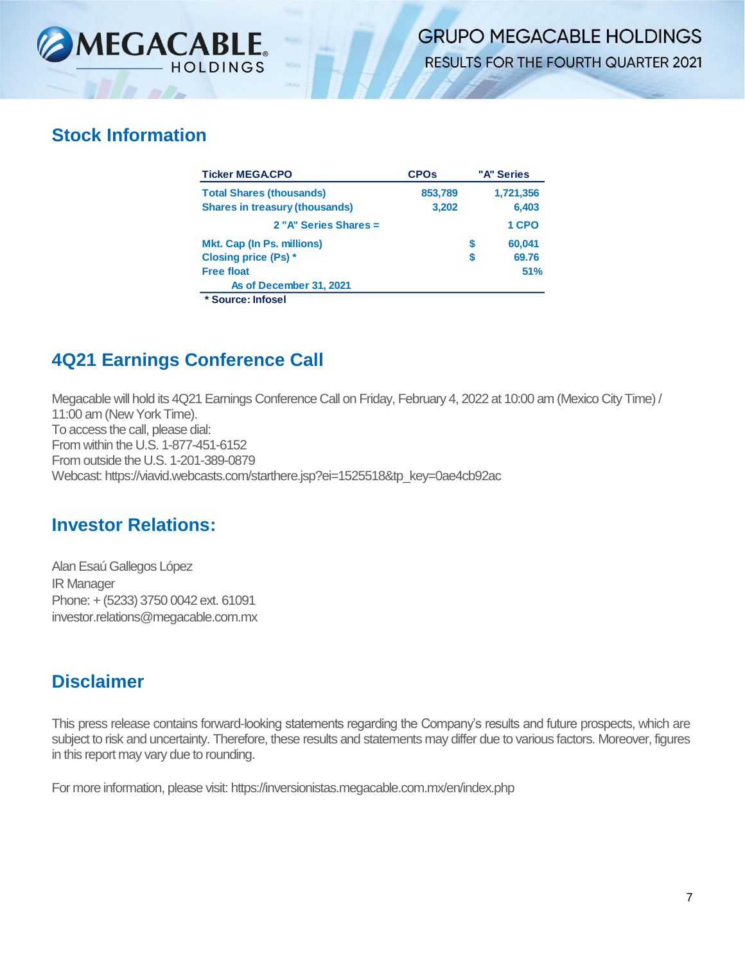

### **Stock Information**

| <b>Ticker MEGACPO</b>                 | <b>CPOs</b> | "A" Series  |
|---------------------------------------|-------------|-------------|
| <b>Total Shares (thousands)</b>       | 853,789     | 1,721,356   |
| <b>Shares in treasury (thousands)</b> | 3,202       | 6,403       |
| 2 "A" Series Shares =                 |             | 1 CPO       |
| <b>Mkt. Cap (In Ps. millions)</b>     |             | S<br>60.041 |
| Closing price (Ps) *                  |             | S<br>69.76  |
| <b>Free float</b>                     |             | 51%         |
| As of December 31, 2021               |             |             |
| * Source: Infosel                     |             |             |

# **4Q21 Earnings Conference Call**

Megacable will hold its 4Q21 Earnings Conference Call on Friday, February 4, 2022 at 10:00 am (Mexico City Time) / 11:00 am (New York Time). To access the call, please dial: From within the U.S. 1-877-451-6152 From outside the U.S. 1-201-389-0879 Webcast: https://viavid.webcasts.com/starthere.jsp?ei=1525518&tp\_key=0ae4cb92ac

#### **Investor Relations:**

Alan Esaú Gallegos López IR Manager Phone: + (5233) 3750 0042 ext. 61091 investor.relations@megacable.com.mx

# **Disclaimer**

This press release contains forward-looking statements regarding the Company's results and future prospects, which are subject to risk and uncertainty. Therefore, these results and statements may differ due to various factors. Moreover, figures in this report may vary due to rounding.

For more information, please visit: https://inversionistas.megacable.com.mx/en/index.php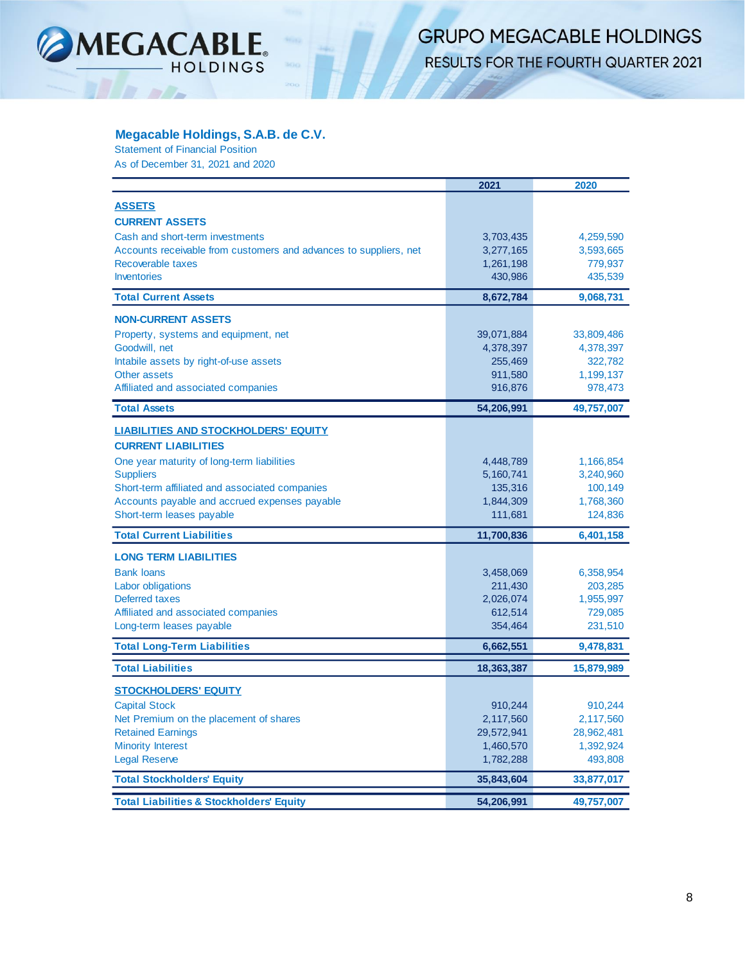

 $\sim$   $\approx$ 

#### **Megacable Holdings, S.A.B. de C.V.**

Statement of Financial Position

As of December 31, 2021 and 2020

|                                                                   | 2021       | 2020       |
|-------------------------------------------------------------------|------------|------------|
| <b>ASSETS</b>                                                     |            |            |
| <b>CURRENT ASSETS</b>                                             |            |            |
| Cash and short-term investments                                   | 3,703,435  | 4,259,590  |
| Accounts receivable from customers and advances to suppliers, net | 3,277,165  | 3,593,665  |
| Recoverable taxes                                                 | 1,261,198  | 779,937    |
| <b>Inventories</b>                                                | 430,986    | 435,539    |
| <b>Total Current Assets</b>                                       | 8,672,784  | 9,068,731  |
| <b>NON-CURRENT ASSETS</b>                                         |            |            |
| Property, systems and equipment, net                              | 39,071,884 | 33,809,486 |
| Goodwill, net                                                     | 4,378,397  | 4,378,397  |
| Intabile assets by right-of-use assets                            | 255,469    | 322,782    |
| <b>Other assets</b>                                               | 911,580    | 1,199,137  |
| Affiliated and associated companies                               | 916,876    | 978,473    |
| <b>Total Assets</b>                                               | 54,206,991 | 49,757,007 |
| <b>LIABILITIES AND STOCKHOLDERS' EQUITY</b>                       |            |            |
| <b>CURRENT LIABILITIES</b>                                        |            |            |
| One year maturity of long-term liabilities                        | 4,448,789  | 1,166,854  |
| <b>Suppliers</b>                                                  | 5,160,741  | 3,240,960  |
| Short-term affiliated and associated companies                    | 135,316    | 100,149    |
| Accounts payable and accrued expenses payable                     | 1,844,309  | 1,768,360  |
| Short-term leases payable                                         | 111,681    | 124,836    |
| <b>Total Current Liabilities</b>                                  | 11,700,836 | 6,401,158  |
| <b>LONG TERM LIABILITIES</b>                                      |            |            |
| <b>Bank loans</b>                                                 | 3,458,069  | 6,358,954  |
| <b>Labor obligations</b>                                          | 211,430    | 203,285    |
| Deferred taxes                                                    | 2,026,074  | 1,955,997  |
| Affiliated and associated companies                               | 612,514    | 729,085    |
| Long-term leases payable                                          | 354,464    | 231,510    |
| <b>Total Long-Term Liabilities</b>                                | 6,662,551  | 9,478,831  |
| <b>Total Liabilities</b>                                          | 18,363,387 | 15,879,989 |
| <b>STOCKHOLDERS' EQUITY</b>                                       |            |            |
| <b>Capital Stock</b>                                              | 910,244    | 910,244    |
| Net Premium on the placement of shares                            | 2,117,560  | 2,117,560  |
| <b>Retained Earnings</b>                                          | 29,572,941 | 28,962,481 |
| <b>Minority Interest</b>                                          | 1,460,570  | 1,392,924  |
| <b>Legal Reserve</b>                                              | 1,782,288  | 493,808    |
| <b>Total Stockholders' Equity</b>                                 | 35,843,604 | 33,877,017 |
| <b>Total Liabilities &amp; Stockholders' Equity</b>               | 54,206,991 | 49,757,007 |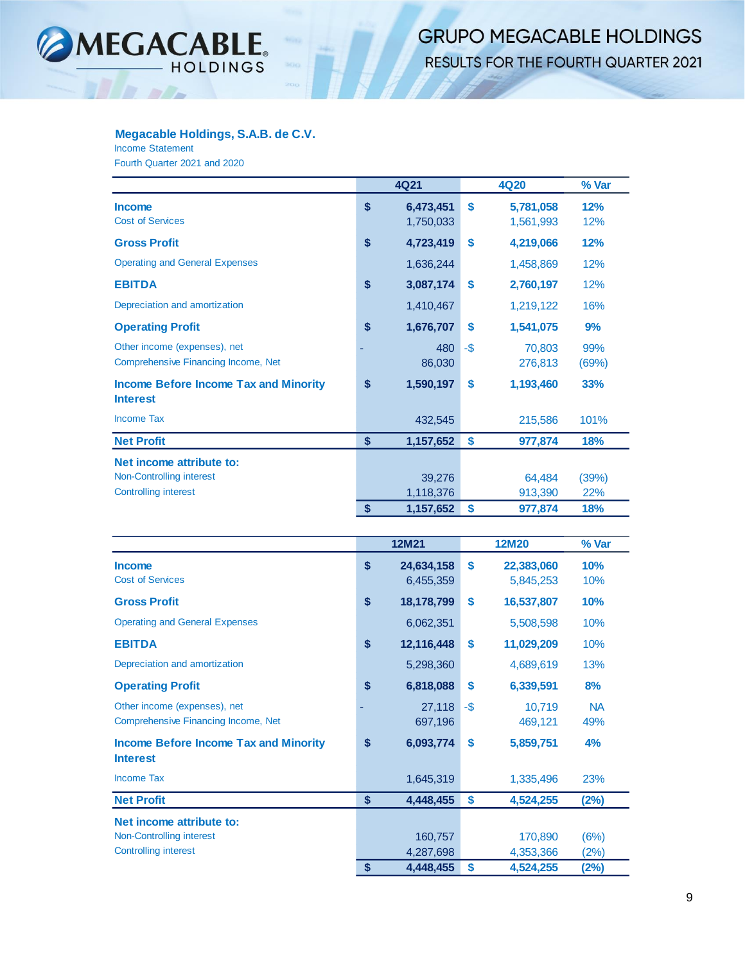

# **GRUPO MEGACABLE HOLDINGS**

RESULTS FOR THE FOURTH QUARTER 2021

#### **Megacable Holdings, S.A.B. de C.V.**

Income Statement

Fourth Quarter 2021 and 2020

|                                                                     | 4Q21                         |      | 4Q20                   | % Var        |
|---------------------------------------------------------------------|------------------------------|------|------------------------|--------------|
| <b>Income</b><br><b>Cost of Services</b>                            | \$<br>6,473,451<br>1,750,033 | \$   | 5,781,058<br>1,561,993 | 12%<br>12%   |
| <b>Gross Profit</b>                                                 | \$<br>4,723,419              | \$   | 4,219,066              | 12%          |
| <b>Operating and General Expenses</b>                               | 1,636,244                    |      | 1,458,869              | 12%          |
| <b>EBITDA</b>                                                       | \$<br>3,087,174              | \$   | 2,760,197              | 12%          |
| Depreciation and amortization                                       | 1,410,467                    |      | 1,219,122              | 16%          |
| <b>Operating Profit</b>                                             | \$<br>1,676,707              | \$   | 1,541,075              | 9%           |
| Other income (expenses), net<br>Comprehensive Financing Income, Net | 480<br>86,030                | $-5$ | 70,803<br>276,813      | 99%<br>(69%) |
| <b>Income Before Income Tax and Minority</b><br><b>Interest</b>     | \$<br>1,590,197              | \$   | 1,193,460              | 33%          |
| <b>Income Tax</b>                                                   | 432,545                      |      | 215,586                | 101%         |
| <b>Net Profit</b>                                                   | \$<br>1,157,652              | \$   | 977,874                | 18%          |
| Net income attribute to:                                            |                              |      |                        |              |
| Non-Controlling interest                                            | 39,276                       |      | 64,484                 | (39%)        |
| <b>Controlling interest</b>                                         | 1,118,376                    |      | 913,390                | 22%          |
|                                                                     | \$<br>1,157,652              | \$   | 977,874                | 18%          |

|                                                                     |               | <b>12M21</b>            |      | <b>12M20</b>            | % Var             |  |
|---------------------------------------------------------------------|---------------|-------------------------|------|-------------------------|-------------------|--|
| <b>Income</b><br><b>Cost of Services</b>                            | \$            | 24,634,158<br>6,455,359 | S    | 22,383,060<br>5,845,253 | <b>10%</b><br>10% |  |
| <b>Gross Profit</b>                                                 | \$            | 18,178,799              | \$   | 16,537,807              | <b>10%</b>        |  |
| <b>Operating and General Expenses</b>                               |               | 6,062,351               |      | 5,508,598               | 10%               |  |
| <b>EBITDA</b>                                                       | $\mathbf{\$}$ | 12,116,448              | \$   | 11,029,209              | 10%               |  |
| Depreciation and amortization                                       |               | 5,298,360               |      | 4,689,619               | 13%               |  |
| <b>Operating Profit</b>                                             | \$            | 6,818,088               | \$   | 6,339,591               | 8%                |  |
| Other income (expenses), net<br>Comprehensive Financing Income, Net |               | 27,118<br>697,196       | $-5$ | 10,719<br>469,121       | <b>NA</b><br>49%  |  |
| <b>Income Before Income Tax and Minority</b><br><b>Interest</b>     | \$            | 6,093,774               | S    | 5,859,751               | 4%                |  |
| <b>Income Tax</b>                                                   |               | 1,645,319               |      | 1,335,496               | 23%               |  |
| <b>Net Profit</b>                                                   | \$            | 4,448,455               | \$   | 4,524,255               | (2%)              |  |
| Net income attribute to:                                            |               |                         |      |                         |                   |  |
| Non-Controlling interest                                            |               | 160,757                 |      | 170,890                 | (6%)              |  |
| <b>Controlling interest</b>                                         |               | 4,287,698               |      | 4,353,366               | (2%)              |  |
|                                                                     | \$            | 4,448,455               | \$   | 4,524,255               | (2%)              |  |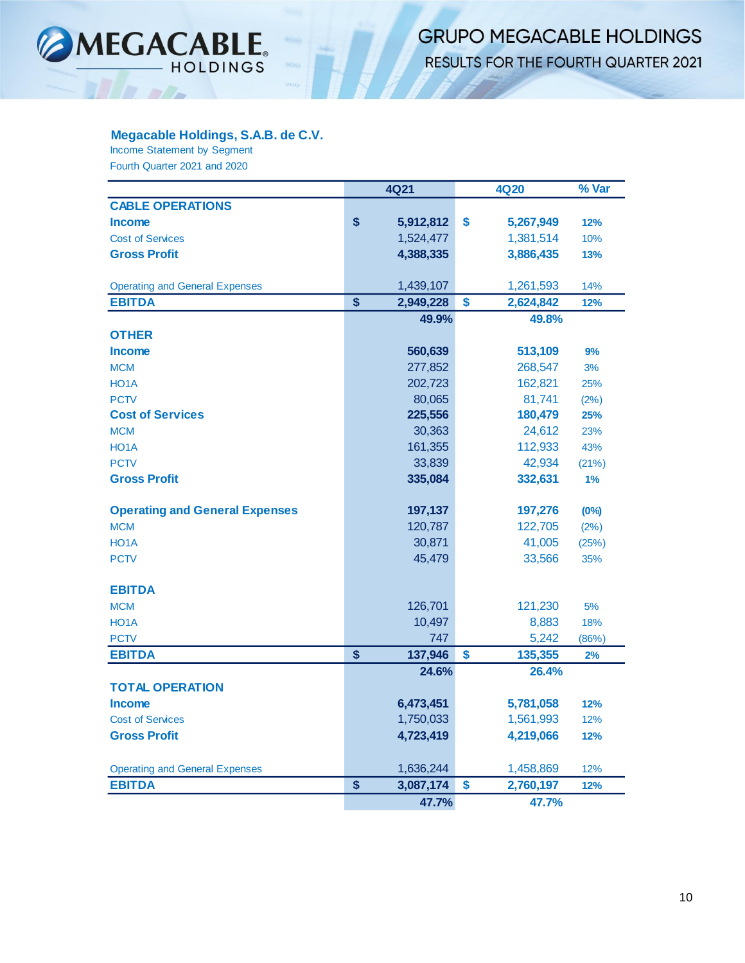

 $\sim$   $\sqrt{2}$ 

# **GRUPO MEGACABLE HOLDINGS** RESULTS FOR THE FOURTH QUARTER 2021

#### **Megacable Holdings, S.A.B. de C.V.**

Income Statement by Segment

Fourth Quarter 2021 and 2020

|                                       | 4Q21 |           | <b>4Q20</b> |           | % Var   |  |
|---------------------------------------|------|-----------|-------------|-----------|---------|--|
| <b>CABLE OPERATIONS</b>               |      |           |             |           |         |  |
| <b>Income</b>                         | \$   | 5,912,812 | \$          | 5,267,949 | 12%     |  |
| <b>Cost of Services</b>               |      | 1,524,477 |             | 1,381,514 | 10%     |  |
| <b>Gross Profit</b>                   |      | 4,388,335 |             | 3,886,435 | 13%     |  |
|                                       |      |           |             |           |         |  |
| <b>Operating and General Expenses</b> |      | 1,439,107 |             | 1,261,593 | 14%     |  |
| <b>EBITDA</b>                         | \$   | 2,949,228 | \$          | 2,624,842 | 12%     |  |
|                                       |      | 49.9%     |             | 49.8%     |         |  |
| <b>OTHER</b>                          |      |           |             |           |         |  |
| <b>Income</b>                         |      | 560,639   |             | 513,109   | 9%      |  |
| <b>MCM</b>                            |      | 277,852   |             | 268,547   | 3%      |  |
| HO <sub>1</sub> A                     |      | 202,723   |             | 162,821   | 25%     |  |
| <b>PCTV</b>                           |      | 80,065    |             | 81,741    | (2%)    |  |
| <b>Cost of Services</b>               |      | 225,556   |             | 180,479   | 25%     |  |
| <b>MCM</b>                            |      | 30,363    |             | 24,612    | 23%     |  |
| HO <sub>1</sub> A                     |      | 161,355   |             | 112,933   | 43%     |  |
| <b>PCTV</b>                           |      | 33,839    |             | 42,934    | (21%)   |  |
| <b>Gross Profit</b>                   |      | 335,084   |             | 332,631   | 1%      |  |
| <b>Operating and General Expenses</b> |      | 197,137   |             | 197,276   | $(0\%)$ |  |
| <b>MCM</b>                            |      | 120,787   |             | 122,705   | (2%)    |  |
| HO <sub>1</sub> A                     |      | 30,871    |             | 41,005    | (25%)   |  |
| <b>PCTV</b>                           |      | 45,479    |             | 33,566    | 35%     |  |
| <b>EBITDA</b>                         |      |           |             |           |         |  |
| <b>MCM</b>                            |      | 126,701   |             | 121,230   | 5%      |  |
| HO <sub>1</sub> A                     |      | 10,497    |             | 8,883     | 18%     |  |
| <b>PCTV</b>                           |      | 747       |             | 5,242     | (86%)   |  |
| <b>EBITDA</b>                         | \$   | 137,946   | \$          | 135,355   | 2%      |  |
|                                       |      | 24.6%     |             | 26.4%     |         |  |
| <b>TOTAL OPERATION</b>                |      |           |             |           |         |  |
| <b>Income</b>                         |      | 6,473,451 |             | 5,781,058 | 12%     |  |
| <b>Cost of Services</b>               |      | 1,750,033 |             | 1,561,993 | 12%     |  |
| <b>Gross Profit</b>                   |      | 4,723,419 |             | 4,219,066 | 12%     |  |
|                                       |      |           |             |           |         |  |
| <b>Operating and General Expenses</b> |      | 1,636,244 |             | 1,458,869 | 12%     |  |
| <b>EBITDA</b>                         | \$   | 3,087,174 | \$          | 2,760,197 | 12%     |  |
|                                       |      | 47.7%     |             | 47.7%     |         |  |